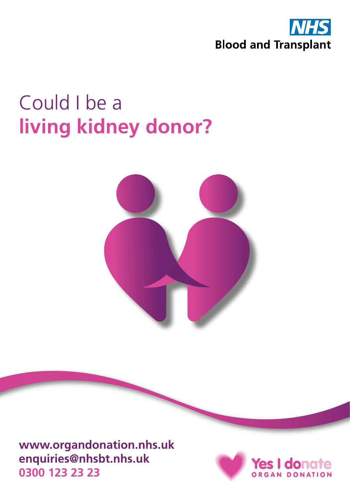

# Could I be a **living kidney donor?**



**www.organdonation.nhs.uk enquiries@nhsbt.nhs.uk 0300 123 23 23**

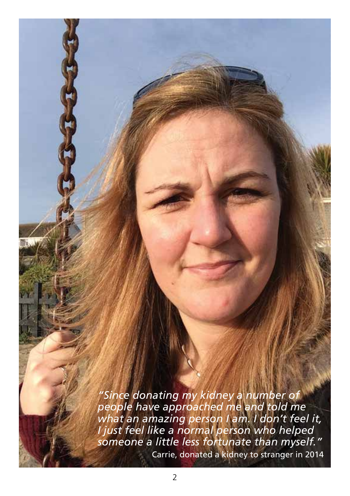*"Since donating my kidney a number of people have approached me and told me what an amazing person I am. I don't feel it, I just feel like a normal person who helped someone a little less fortunate than myself."* Carrie, donated a kidney to stranger in 2014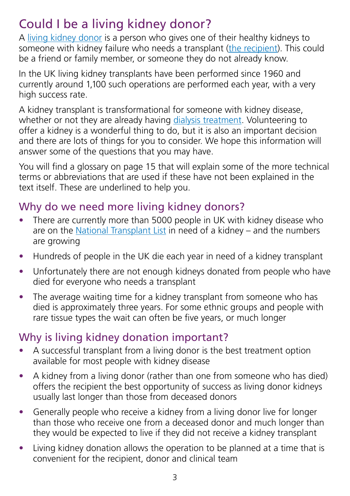# Could I be a living kidney donor?

A [living kidney donor](#page-14-0) is a person who gives one of their healthy kidneys to someone with kidney failure who needs a transplant [\(the recipient\)](#page-15-0). This could be a friend or family member, or someone they do not already know.

In the UK living kidney transplants have been performed since 1960 and currently around 1,100 such operations are performed each year, with a very high success rate.

A kidney transplant is transformational for someone with kidney disease, whether or not they are already having [dialysis treatment.](#page-14-1) Volunteering to offer a kidney is a wonderful thing to do, but it is also an important decision and there are lots of things for you to consider. We hope this information will answer some of the questions that you may have.

You will find a [glossary on page 15](#page-14-2) that will explain some of the more technical terms or abbreviations that are used if these have not been explained in the text itself. These are underlined to help you.

#### Why do we need more living kidney donors?

- There are currently more than 5000 people in UK with kidney disease who are on the [National Transplant List](#page-15-1) in need of a kidney – and the numbers are growing
- Hundreds of people in the UK die each year in need of a kidney transplant
- Unfortunately there are not enough kidneys donated from people who have died for everyone who needs a transplant
- The average waiting time for a kidney transplant from someone who has died is approximately three years. For some ethnic groups and people with rare tissue types the wait can often be five years, or much longer

## Why is living kidney donation important?

- A successful transplant from a living donor is the best treatment option available for most people with kidney disease
- A kidney from a living donor (rather than one from someone who has died) offers the recipient the best opportunity of success as living donor kidneys usually last longer than those from deceased donors
- Generally people who receive a kidney from a living donor live for longer than those who receive one from a deceased donor and much longer than they would be expected to live if they did not receive a kidney transplant
- Living kidney donation allows the operation to be planned at a time that is convenient for the recipient, donor and clinical team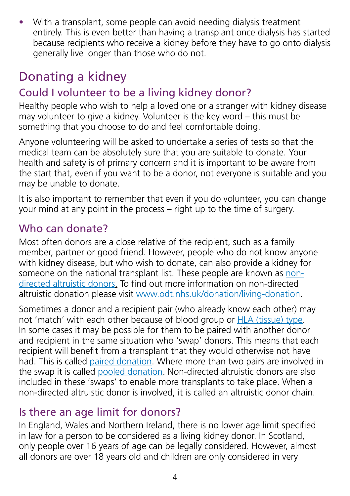• With a transplant, some people can avoid needing dialysis treatment entirely. This is even better than having a transplant once dialysis has started because recipients who receive a kidney before they have to go onto dialysis generally live longer than those who do not.

# Donating a kidney

# Could I volunteer to be a living kidney donor?

Healthy people who wish to help a loved one or a stranger with kidney disease may volunteer to give a kidney. Volunteer is the key word – this must be something that you choose to do and feel comfortable doing.

Anyone volunteering will be asked to undertake a series of tests so that the medical team can be absolutely sure that you are suitable to donate. Your health and safety is of primary concern and it is important to be aware from the start that, even if you want to be a donor, not everyone is suitable and you may be unable to donate.

It is also important to remember that even if you do volunteer, you can change your mind at any point in the process – right up to the time of surgery.

#### Who can donate?

Most often donors are a close relative of the recipient, such as a family member, partner or good friend. However, people who do not know anyone with kidney disease, but who wish to donate, can also provide a kidney for someone on the national transplant list. These people are known as [non](#page-15-2)[directed altruistic donors.](#page-15-2) To find out more information on non-directed altruistic donation please visit www.odt.nhs.uk/donation/living-donation.

Sometimes a donor and a recipient pair (who already know each other) may not 'match' with each other because of blood group or [HLA \(tissue\) type.](#page-14-3) In some cases it may be possible for them to be paired with another donor and recipient in the same situation who 'swap' donors. This means that each recipient will benefit from a transplant that they would otherwise not have had. This is called [paired donation](#page-15-3). Where more than two pairs are involved in the swap it is called [pooled donation](#page-15-3). Non-directed altruistic donors are also included in these 'swaps' to enable more transplants to take place. When a non-directed altruistic donor is involved, it is called an altruistic donor chain.

#### Is there an age limit for donors?

In England, Wales and Northern Ireland, there is no lower age limit specified in law for a person to be considered as a living kidney donor. In Scotland, only people over 16 years of age can be legally considered. However, almost all donors are over 18 years old and children are only considered in very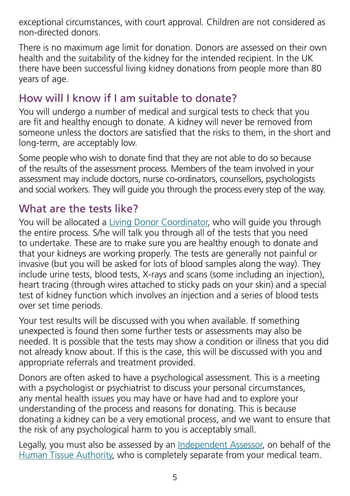exceptional circumstances, with court approval. Children are not considered as non-directed donors.

There is no maximum age limit for donation. Donors are assessed on their own health and the suitability of the kidney for the intended recipient. In the UK there have been successful living kidney donations from people more than 80 years of age.

#### How will I know if I am suitable to donate?

You will undergo a number of medical and surgical tests to check that you are fit and healthy enough to donate. A kidney will never be removed from someone unless the doctors are satisfied that the risks to them, in the short and long-term, are acceptably low.

Some people who wish to donate find that they are not able to do so because of the results of the assessment process. Members of the team involved in your assessment may include doctors, nurse co-ordinators, counsellors, psychologists and social workers. They will guide you through the process every step of the way.

#### What are the tests like?

You will be allocated a [Living Donor Coordinator](#page-14-4), who will guide you through the entire process. S/he will talk you through all of the tests that you need to undertake. These are to make sure you are healthy enough to donate and that your kidneys are working properly. The tests are generally not painful or invasive (but you will be asked for lots of blood samples along the way). They include urine tests, blood tests, X-rays and scans (some including an injection), heart tracing (through wires attached to sticky pads on your skin) and a special test of kidney function which involves an injection and a series of blood tests over set time periods.

Your test results will be discussed with you when available. If something unexpected is found then some further tests or assessments may also be needed. It is possible that the tests may show a condition or illness that you did not already know about. If this is the case, this will be discussed with you and appropriate referrals and treatment provided.

Donors are often asked to have a psychological assessment. This is a meeting with a psychologist or psychiatrist to discuss your personal circumstances, any mental health issues you may have or have had and to explore your understanding of the process and reasons for donating. This is because donating a kidney can be a very emotional process, and we want to ensure that the risk of any psychological harm to you is acceptably small.

Legally, you must also be assessed by an [Independent Assessor,](#page-14-5) on behalf of the [Human Tissue Authority](#page-14-6), who is completely separate from your medical team.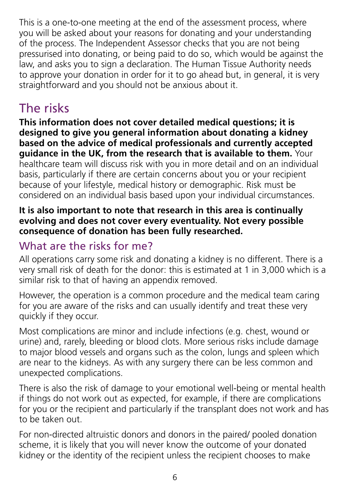This is a one-to-one meeting at the end of the assessment process, where you will be asked about your reasons for donating and your understanding of the process. The Independent Assessor checks that you are not being pressurised into donating, or being paid to do so, which would be against the law, and asks you to sign a declaration. The Human Tissue Authority needs to approve your donation in order for it to go ahead but, in general, it is very straightforward and you should not be anxious about it.

# The risks

**This information does not cover detailed medical questions; it is designed to give you general information about donating a kidney based on the advice of medical professionals and currently accepted guidance in the UK, from the research that is available to them.** Your healthcare team will discuss risk with you in more detail and on an individual basis, particularly if there are certain concerns about you or your recipient because of your lifestyle, medical history or demographic. Risk must be considered on an individual basis based upon your individual circumstances.

#### **It is also important to note that research in this area is continually evolving and does not cover every eventuality. Not every possible consequence of donation has been fully researched.**

## What are the risks for me?

All operations carry some risk and donating a kidney is no different. There is a very small risk of death for the donor: this is estimated at 1 in 3,000 which is a similar risk to that of having an appendix removed.

However, the operation is a common procedure and the medical team caring for you are aware of the risks and can usually identify and treat these very quickly if they occur.

Most complications are minor and include infections (e.g. chest, wound or urine) and, rarely, bleeding or blood clots. More serious risks include damage to major blood vessels and organs such as the colon, lungs and spleen which are near to the kidneys. As with any surgery there can be less common and unexpected complications.

There is also the risk of damage to your emotional well-being or mental health if things do not work out as expected, for example, if there are complications for you or the recipient and particularly if the transplant does not work and has to be taken out.

For non-directed altruistic donors and donors in the paired/ pooled donation scheme, it is likely that you will never know the outcome of your donated kidney or the identity of the recipient unless the recipient chooses to make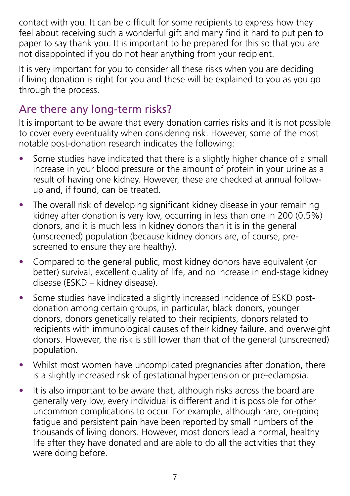contact with you. It can be difficult for some recipients to express how they feel about receiving such a wonderful gift and many find it hard to put pen to paper to say thank you. It is important to be prepared for this so that you are not disappointed if you do not hear anything from your recipient.

It is very important for you to consider all these risks when you are deciding if living donation is right for you and these will be explained to you as you go through the process.

## Are there any long-term risks?

It is important to be aware that every donation carries risks and it is not possible to cover every eventuality when considering risk. However, some of the most notable post-donation research indicates the following:

- Some studies have indicated that there is a slightly higher chance of a small increase in your blood pressure or the amount of protein in your urine as a result of having one kidney. However, these are checked at annual followup and, if found, can be treated.
- The overall risk of developing significant kidney disease in your remaining kidney after donation is very low, occurring in less than one in 200 (0.5%) donors, and it is much less in kidney donors than it is in the general (unscreened) population (because kidney donors are, of course, prescreened to ensure they are healthy).
- Compared to the general public, most kidney donors have equivalent (or better) survival, excellent quality of life, and no increase in end-stage kidney disease (ESKD – kidney disease).
- Some studies have indicated a slightly increased incidence of ESKD postdonation among certain groups, in particular, black donors, younger donors, donors genetically related to their recipients, donors related to recipients with immunological causes of their kidney failure, and overweight donors. However, the risk is still lower than that of the general (unscreened) population.
- Whilst most women have uncomplicated pregnancies after donation, there is a slightly increased risk of gestational hypertension or pre-eclampsia.
- It is also important to be aware that, although risks across the board are generally very low, every individual is different and it is possible for other uncommon complications to occur. For example, although rare, on-going fatigue and persistent pain have been reported by small numbers of the thousands of living donors. However, most donors lead a normal, healthy life after they have donated and are able to do all the activities that they were doing before.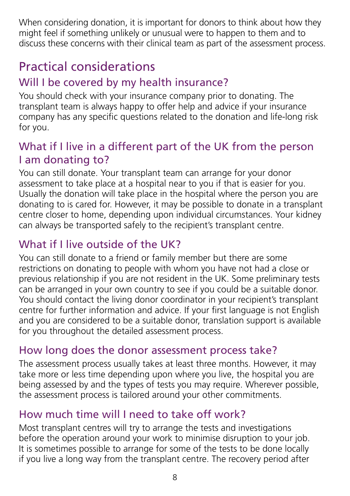When considering donation, it is important for donors to think about how they might feel if something unlikely or unusual were to happen to them and to discuss these concerns with their clinical team as part of the assessment process.

# Practical considerations

# Will I be covered by my health insurance?

You should check with your insurance company prior to donating. The transplant team is always happy to offer help and advice if your insurance company has any specific questions related to the donation and life-long risk for you.

#### What if I live in a different part of the UK from the person I am donating to?

You can still donate. Your transplant team can arrange for your donor assessment to take place at a hospital near to you if that is easier for you. Usually the donation will take place in the hospital where the person you are donating to is cared for. However, it may be possible to donate in a transplant centre closer to home, depending upon individual circumstances. Your kidney can always be transported safely to the recipient's transplant centre.

# What if I live outside of the UK?

You can still donate to a friend or family member but there are some restrictions on donating to people with whom you have not had a close or previous relationship if you are not resident in the UK. Some preliminary tests can be arranged in your own country to see if you could be a suitable donor. You should contact the living donor coordinator in your recipient's transplant centre for further information and advice. If your first language is not English and you are considered to be a suitable donor, translation support is available for you throughout the detailed assessment process.

#### How long does the donor assessment process take?

The assessment process usually takes at least three months. However, it may take more or less time depending upon where you live, the hospital you are being assessed by and the types of tests you may require. Wherever possible, the assessment process is tailored around your other commitments.

## How much time will I need to take off work?

Most transplant centres will try to arrange the tests and investigations before the operation around your work to minimise disruption to your job. It is sometimes possible to arrange for some of the tests to be done locally if you live a long way from the transplant centre. The recovery period after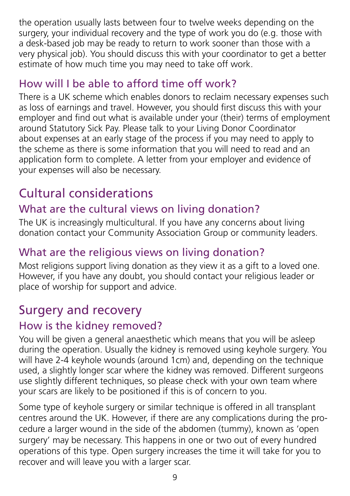the operation usually lasts between four to twelve weeks depending on the surgery, your individual recovery and the type of work you do (e.g. those with a desk-based job may be ready to return to work sooner than those with a very physical job). You should discuss this with your coordinator to get a better estimate of how much time you may need to take off work.

#### How will I be able to afford time off work?

There is a UK scheme which enables donors to reclaim necessary expenses such as loss of earnings and travel. However, you should first discuss this with your employer and find out what is available under your (their) terms of employment around Statutory Sick Pay. Please talk to your Living Donor Coordinator about expenses at an early stage of the process if you may need to apply to the scheme as there is some information that you will need to read and an application form to complete. A letter from your employer and evidence of your expenses will also be necessary.

# Cultural considerations

## What are the cultural views on living donation?

The UK is increasingly multicultural. If you have any concerns about living donation contact your Community Association Group or community leaders.

## What are the religious views on living donation?

Most religions support living donation as they view it as a gift to a loved one. However, if you have any doubt, you should contact your religious leader or place of worship for support and advice.

# Surgery and recovery

## How is the kidney removed?

You will be given a general anaesthetic which means that you will be asleep during the operation. Usually the kidney is removed using keyhole surgery. You will have 2-4 keyhole wounds (around 1cm) and, depending on the technique used, a slightly longer scar where the kidney was removed. Different surgeons use slightly different techniques, so please check with your own team where your scars are likely to be positioned if this is of concern to you.

Some type of keyhole surgery or similar technique is offered in all transplant centres around the UK. However, if there are any complications during the procedure a larger wound in the side of the abdomen (tummy), known as 'open surgery' may be necessary. This happens in one or two out of every hundred operations of this type. Open surgery increases the time it will take for you to recover and will leave you with a larger scar.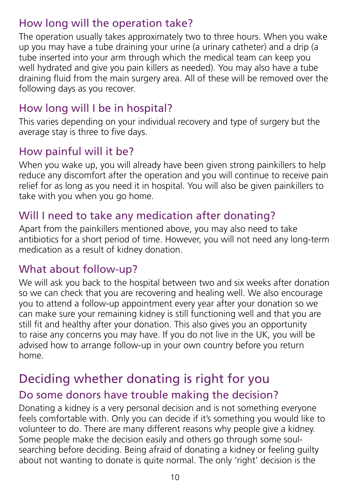#### How long will the operation take?

The operation usually takes approximately two to three hours. When you wake up you may have a tube draining your urine (a urinary catheter) and a drip (a tube inserted into your arm through which the medical team can keep you well hydrated and give you pain killers as needed). You may also have a tube draining fluid from the main surgery area. All of these will be removed over the following days as you recover.

# How long will I be in hospital?

This varies depending on your individual recovery and type of surgery but the average stay is three to five days.

## How painful will it be?

When you wake up, you will already have been given strong painkillers to help reduce any discomfort after the operation and you will continue to receive pain relief for as long as you need it in hospital. You will also be given painkillers to take with you when you go home.

#### Will I need to take any medication after donating?

Apart from the painkillers mentioned above, you may also need to take antibiotics for a short period of time. However, you will not need any long-term medication as a result of kidney donation.

#### What about follow-up?

We will ask you back to the hospital between two and six weeks after donation so we can check that you are recovering and healing well. We also encourage you to attend a follow-up appointment every year after your donation so we can make sure your remaining kidney is still functioning well and that you are still fit and healthy after your donation. This also gives you an opportunity to raise any concerns you may have. If you do not live in the UK, you will be advised how to arrange follow-up in your own country before you return home.

# Deciding whether donating is right for you

## Do some donors have trouble making the decision?

Donating a kidney is a very personal decision and is not something everyone feels comfortable with. Only you can decide if it's something you would like to volunteer to do. There are many different reasons why people give a kidney. Some people make the decision easily and others go through some soulsearching before deciding. Being afraid of donating a kidney or feeling guilty about not wanting to donate is quite normal. The only 'right' decision is the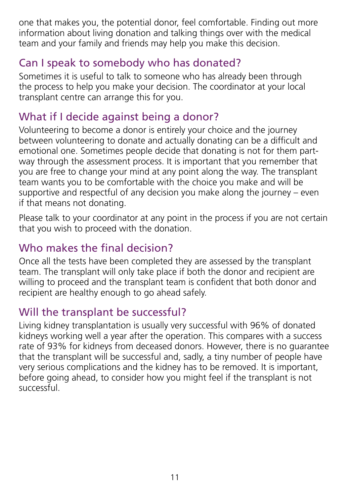one that makes you, the potential donor, feel comfortable. Finding out more information about living donation and talking things over with the medical team and your family and friends may help you make this decision.

#### Can I speak to somebody who has donated?

Sometimes it is useful to talk to someone who has already been through the process to help you make your decision. The coordinator at your local transplant centre can arrange this for you.

#### What if I decide against being a donor?

Volunteering to become a donor is entirely your choice and the journey between volunteering to donate and actually donating can be a difficult and emotional one. Sometimes people decide that donating is not for them partway through the assessment process. It is important that you remember that you are free to change your mind at any point along the way. The transplant team wants you to be comfortable with the choice you make and will be supportive and respectful of any decision you make along the journey – even if that means not donating.

Please talk to your coordinator at any point in the process if you are not certain that you wish to proceed with the donation.

#### Who makes the final decision?

Once all the tests have been completed they are assessed by the transplant team. The transplant will only take place if both the donor and recipient are willing to proceed and the transplant team is confident that both donor and recipient are healthy enough to go ahead safely.

#### Will the transplant be successful?

Living kidney transplantation is usually very successful with 96% of donated kidneys working well a year after the operation. This compares with a success rate of 93% for kidneys from deceased donors. However, there is no guarantee that the transplant will be successful and, sadly, a tiny number of people have very serious complications and the kidney has to be removed. It is important, before going ahead, to consider how you might feel if the transplant is not successful.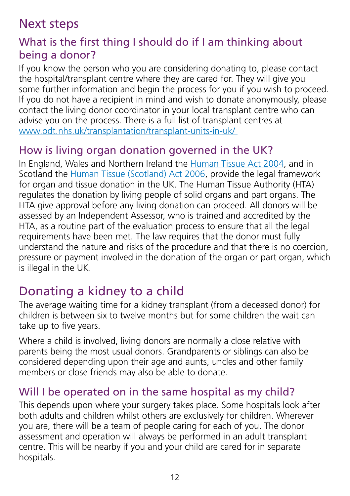# Next steps

#### What is the first thing I should do if I am thinking about being a donor?

If you know the person who you are considering donating to, please contact the hospital/transplant centre where they are cared for. They will give you some further information and begin the process for you if you wish to proceed. If you do not have a recipient in mind and wish to donate anonymously, please contact the living donor coordinator in your local transplant centre who can advise you on the process. There is a full list of transplant centres at www.odt.nhs.uk/transplantation/transplant-units-in-uk/

#### How is living organ donation governed in the UK?

In England, Wales and Northern Ireland the [Human Tissue Act 2004](#page-14-7), and in Scotland the [Human Tissue \(Scotland\) Act 2006](#page-14-7), provide the legal framework for organ and tissue donation in the UK. The Human Tissue Authority (HTA) regulates the donation by living people of solid organs and part organs. The HTA give approval before any living donation can proceed. All donors will be assessed by an Independent Assessor, who is trained and accredited by the HTA, as a routine part of the evaluation process to ensure that all the legal requirements have been met. The law requires that the donor must fully understand the nature and risks of the procedure and that there is no coercion, pressure or payment involved in the donation of the organ or part organ, which is illegal in the UK.

# Donating a kidney to a child

The average waiting time for a kidney transplant (from a deceased donor) for children is between six to twelve months but for some children the wait can take up to five years.

Where a child is involved, living donors are normally a close relative with parents being the most usual donors. Grandparents or siblings can also be considered depending upon their age and aunts, uncles and other family members or close friends may also be able to donate.

#### Will I be operated on in the same hospital as my child?

This depends upon where your surgery takes place. Some hospitals look after both adults and children whilst others are exclusively for children. Wherever you are, there will be a team of people caring for each of you. The donor assessment and operation will always be performed in an adult transplant centre. This will be nearby if you and your child are cared for in separate hospitals.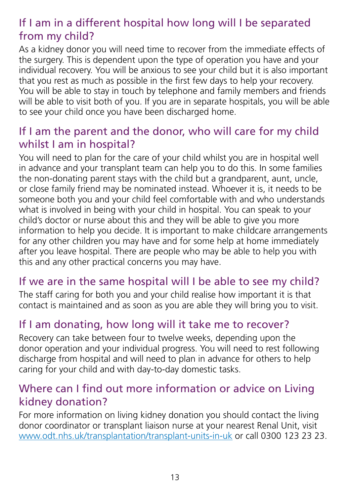#### If I am in a different hospital how long will I be separated from my child?

As a kidney donor you will need time to recover from the immediate effects of the surgery. This is dependent upon the type of operation you have and your individual recovery. You will be anxious to see your child but it is also important that you rest as much as possible in the first few days to help your recovery. You will be able to stay in touch by telephone and family members and friends will be able to visit both of you. If you are in separate hospitals, you will be able to see your child once you have been discharged home.

#### If I am the parent and the donor, who will care for my child whilst I am in hospital?

You will need to plan for the care of your child whilst you are in hospital well in advance and your transplant team can help you to do this. In some families the non-donating parent stays with the child but a grandparent, aunt, uncle, or close family friend may be nominated instead. Whoever it is, it needs to be someone both you and your child feel comfortable with and who understands what is involved in being with your child in hospital. You can speak to your child's doctor or nurse about this and they will be able to give you more information to help you decide. It is important to make childcare arrangements for any other children you may have and for some help at home immediately after you leave hospital. There are people who may be able to help you with this and any other practical concerns you may have.

#### If we are in the same hospital will I be able to see my child?

The staff caring for both you and your child realise how important it is that contact is maintained and as soon as you are able they will bring you to visit.

## If I am donating, how long will it take me to recover?

Recovery can take between four to twelve weeks, depending upon the donor operation and your individual progress. You will need to rest following discharge from hospital and will need to plan in advance for others to help caring for your child and with day-to-day domestic tasks.

#### Where can I find out more information or advice on Living kidney donation?

For more information on living kidney donation you should contact the living donor coordinator or transplant liaison nurse at your nearest Renal Unit, visit www.odt.nhs.uk/transplantation/transplant-units-in-uk or call 0300 123 23 23.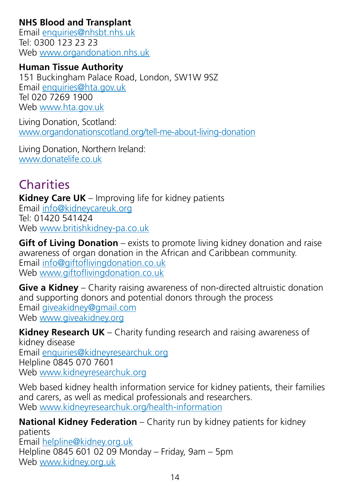#### **NHS Blood and Transplant**

Email enquiries@nhsbt.nhs.uk Tel: 0300 123 23 23 Web www.organdonation.nhs.uk

**Human Tissue Authority** 151 Buckingham Palace Road, London, SW1W 9SZ Email enquiries@hta.gov.uk Tel 020 7269 1900 Web www.hta.gov.uk

Living Donation, Scotland: www.organdonationscotland.org/tell-me-about-living-donation

Living Donation, Northern Ireland: www.donatelife.co.uk

# **Charities**

**Kidney Care UK** – Improving life for kidney patients Email info@kidneycareuk.org Tel: 01420 541424 Web www.britishkidney-pa.co.uk

**Gift of Living Donation** – exists to promote living kidney donation and raise awareness of organ donation in the African and Caribbean community. Email info@giftoflivingdonation.co.uk Web www.giftoflivingdonation.co.uk

**Give a Kidney** – Charity raising awareness of non-directed altruistic donation and supporting donors and potential donors through the process Email giveakidney@gmail.com Web www.giveakidney.org

**Kidney Research UK** – Charity funding research and raising awareness of kidney disease Email enquiries@kidneyresearchuk.org Helpline 0845 070 7601 Web www.kidneyresearchuk.org

Web based kidney health information service for kidney patients, their families and carers, as well as medical professionals and researchers. Web www.kidneyresearchuk.org/health-information

**National Kidney Federation** – Charity run by kidney patients for kidney patients Email helpline@kidney.org.uk Helpline 0845 601 02 09 Monday – Friday, 9am – 5pm Web www.kidney.org.uk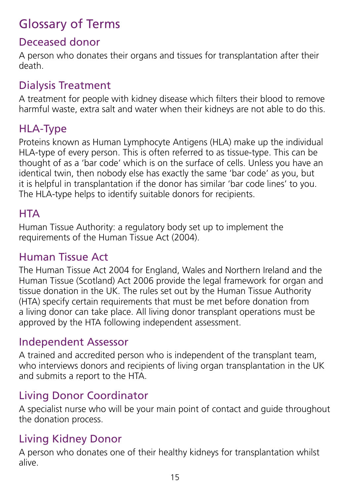# <span id="page-14-2"></span>Glossary of Terms

#### Deceased donor

A person who donates their organs and tissues for transplantation after their death.

## <span id="page-14-1"></span>Dialysis Treatment

A treatment for people with kidney disease which filters their blood to remove harmful waste, extra salt and water when their kidneys are not able to do this.

# <span id="page-14-3"></span>HLA-Type

Proteins known as Human Lymphocyte Antigens (HLA) make up the individual HLA-type of every person. This is often referred to as tissue-type. This can be thought of as a 'bar code' which is on the surface of cells. Unless you have an identical twin, then nobody else has exactly the same 'bar code' as you, but it is helpful in transplantation if the donor has similar 'bar code lines' to you. The HLA-type helps to identify suitable donors for recipients.

#### <span id="page-14-6"></span>**HTA**

Human Tissue Authority: a regulatory body set up to implement the requirements of the Human Tissue Act (2004).

#### <span id="page-14-7"></span>Human Tissue Act

The Human Tissue Act 2004 for England, Wales and Northern Ireland and the Human Tissue (Scotland) Act 2006 provide the legal framework for organ and tissue donation in the UK. The rules set out by the Human Tissue Authority (HTA) specify certain requirements that must be met before donation from a living donor can take place. All living donor transplant operations must be approved by the HTA following independent assessment.

#### <span id="page-14-5"></span>Independent Assessor

A trained and accredited person who is independent of the transplant team, who interviews donors and recipients of living organ transplantation in the UK and submits a report to the HTA.

## <span id="page-14-4"></span>Living Donor Coordinator

A specialist nurse who will be your main point of contact and guide throughout the donation process.

## <span id="page-14-0"></span>Living Kidney Donor

A person who donates one of their healthy kidneys for transplantation whilst alive.